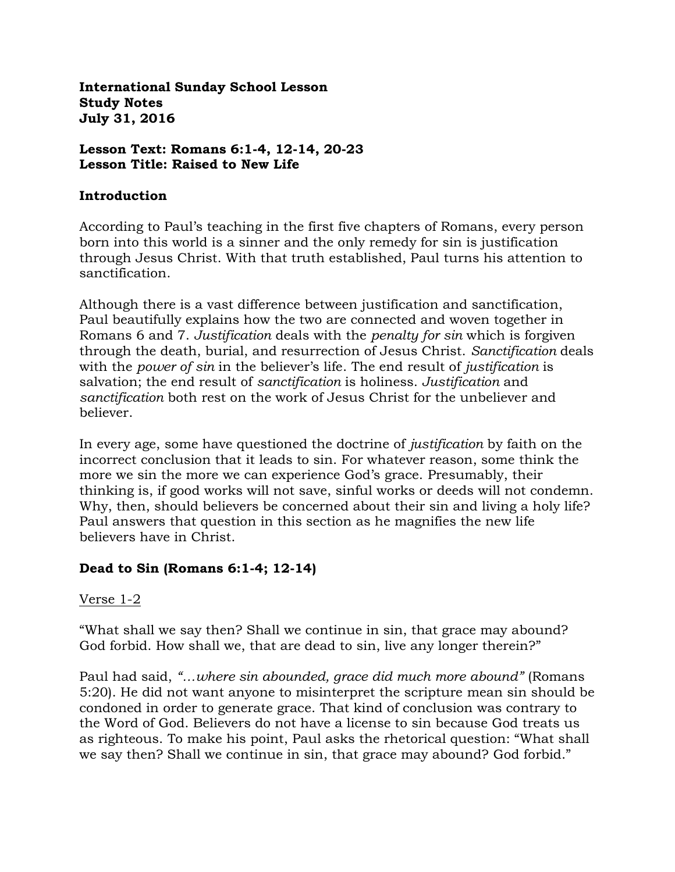**International Sunday School Lesson Study Notes July 31, 2016**

**Lesson Text: Romans 6:1-4, 12-14, 20-23 Lesson Title: Raised to New Life**

#### **Introduction**

According to Paul's teaching in the first five chapters of Romans, every person born into this world is a sinner and the only remedy for sin is justification through Jesus Christ. With that truth established, Paul turns his attention to sanctification.

Although there is a vast difference between justification and sanctification, Paul beautifully explains how the two are connected and woven together in Romans 6 and 7. *Justification* deals with the *penalty for sin* which is forgiven through the death, burial, and resurrection of Jesus Christ. *Sanctification* deals with the *power of sin* in the believer's life. The end result of *justification* is salvation; the end result of *sanctification* is holiness. *Justification* and *sanctification* both rest on the work of Jesus Christ for the unbeliever and believer.

In every age, some have questioned the doctrine of *justification* by faith on the incorrect conclusion that it leads to sin. For whatever reason, some think the more we sin the more we can experience God's grace. Presumably, their thinking is, if good works will not save, sinful works or deeds will not condemn. Why, then, should believers be concerned about their sin and living a holy life? Paul answers that question in this section as he magnifies the new life believers have in Christ.

#### **Dead to Sin (Romans 6:1-4; 12-14)**

Verse 1-2

"What shall we say then? Shall we continue in sin, that grace may abound? God forbid. How shall we, that are dead to sin, live any longer therein?"

Paul had said, *"…where sin abounded, grace did much more abound"* (Romans 5:20). He did not want anyone to misinterpret the scripture mean sin should be condoned in order to generate grace. That kind of conclusion was contrary to the Word of God. Believers do not have a license to sin because God treats us as righteous. To make his point, Paul asks the rhetorical question: "What shall we say then? Shall we continue in sin, that grace may abound? God forbid."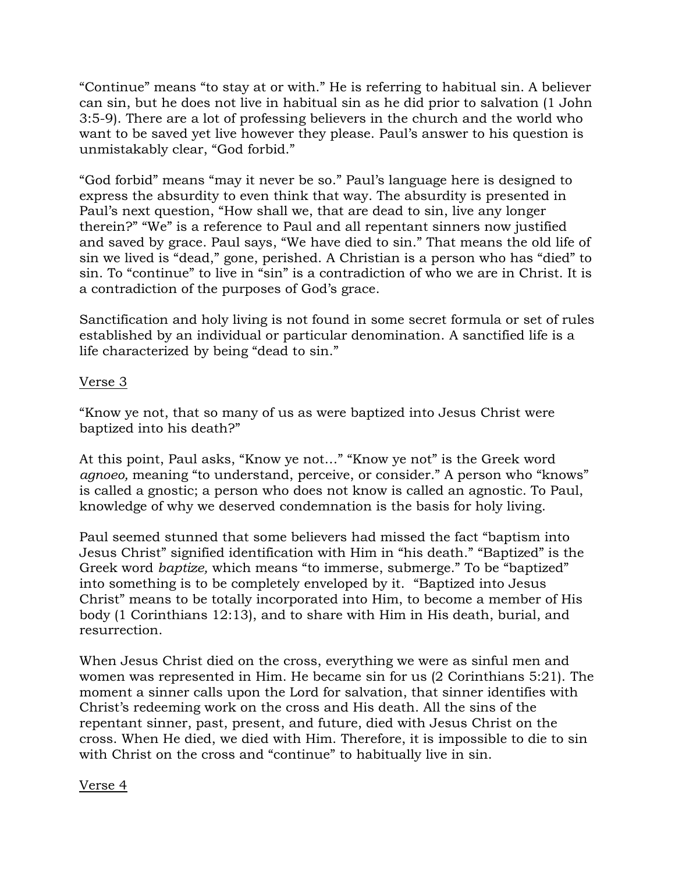"Continue" means "to stay at or with." He is referring to habitual sin. A believer can sin, but he does not live in habitual sin as he did prior to salvation (1 John 3:5-9). There are a lot of professing believers in the church and the world who want to be saved yet live however they please. Paul's answer to his question is unmistakably clear, "God forbid."

"God forbid" means "may it never be so." Paul's language here is designed to express the absurdity to even think that way. The absurdity is presented in Paul's next question, "How shall we, that are dead to sin, live any longer therein?" "We" is a reference to Paul and all repentant sinners now justified and saved by grace. Paul says, "We have died to sin." That means the old life of sin we lived is "dead," gone, perished. A Christian is a person who has "died" to sin. To "continue" to live in "sin" is a contradiction of who we are in Christ. It is a contradiction of the purposes of God's grace.

Sanctification and holy living is not found in some secret formula or set of rules established by an individual or particular denomination. A sanctified life is a life characterized by being "dead to sin."

## Verse 3

"Know ye not, that so many of us as were baptized into Jesus Christ were baptized into his death?"

At this point, Paul asks, "Know ye not…" "Know ye not" is the Greek word *agnoeo,* meaning "to understand, perceive, or consider." A person who "knows" is called a gnostic; a person who does not know is called an agnostic. To Paul, knowledge of why we deserved condemnation is the basis for holy living.

Paul seemed stunned that some believers had missed the fact "baptism into Jesus Christ" signified identification with Him in "his death." "Baptized" is the Greek word *baptize,* which means "to immerse, submerge." To be "baptized" into something is to be completely enveloped by it. "Baptized into Jesus Christ" means to be totally incorporated into Him, to become a member of His body (1 Corinthians 12:13), and to share with Him in His death, burial, and resurrection.

When Jesus Christ died on the cross, everything we were as sinful men and women was represented in Him. He became sin for us (2 Corinthians 5:21). The moment a sinner calls upon the Lord for salvation, that sinner identifies with Christ's redeeming work on the cross and His death. All the sins of the repentant sinner, past, present, and future, died with Jesus Christ on the cross. When He died, we died with Him. Therefore, it is impossible to die to sin with Christ on the cross and "continue" to habitually live in sin.

#### Verse 4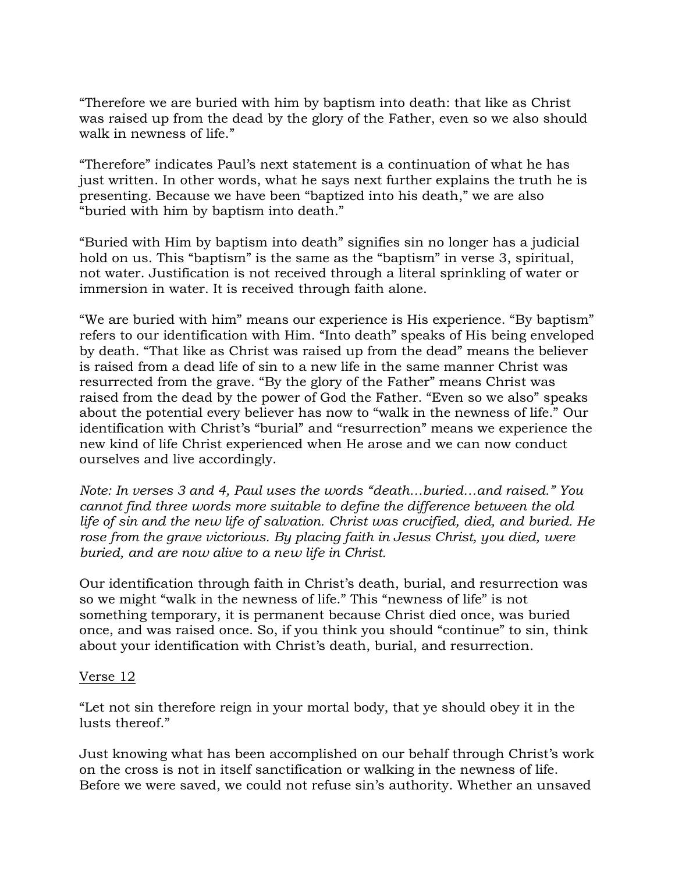"Therefore we are buried with him by baptism into death: that like as Christ was raised up from the dead by the glory of the Father, even so we also should walk in newness of life."

"Therefore" indicates Paul's next statement is a continuation of what he has just written. In other words, what he says next further explains the truth he is presenting. Because we have been "baptized into his death," we are also "buried with him by baptism into death."

"Buried with Him by baptism into death" signifies sin no longer has a judicial hold on us. This "baptism" is the same as the "baptism" in verse 3, spiritual, not water. Justification is not received through a literal sprinkling of water or immersion in water. It is received through faith alone.

"We are buried with him" means our experience is His experience. "By baptism" refers to our identification with Him. "Into death" speaks of His being enveloped by death. "That like as Christ was raised up from the dead" means the believer is raised from a dead life of sin to a new life in the same manner Christ was resurrected from the grave. "By the glory of the Father" means Christ was raised from the dead by the power of God the Father. "Even so we also" speaks about the potential every believer has now to "walk in the newness of life." Our identification with Christ's "burial" and "resurrection" means we experience the new kind of life Christ experienced when He arose and we can now conduct ourselves and live accordingly.

*Note: In verses 3 and 4, Paul uses the words "death…buried…and raised." You cannot find three words more suitable to define the difference between the old life of sin and the new life of salvation. Christ was crucified, died, and buried. He rose from the grave victorious. By placing faith in Jesus Christ, you died, were buried, and are now alive to a new life in Christ.*

Our identification through faith in Christ's death, burial, and resurrection was so we might "walk in the newness of life." This "newness of life" is not something temporary, it is permanent because Christ died once, was buried once, and was raised once. So, if you think you should "continue" to sin, think about your identification with Christ's death, burial, and resurrection.

#### Verse 12

"Let not sin therefore reign in your mortal body, that ye should obey it in the lusts thereof."

Just knowing what has been accomplished on our behalf through Christ's work on the cross is not in itself sanctification or walking in the newness of life. Before we were saved, we could not refuse sin's authority. Whether an unsaved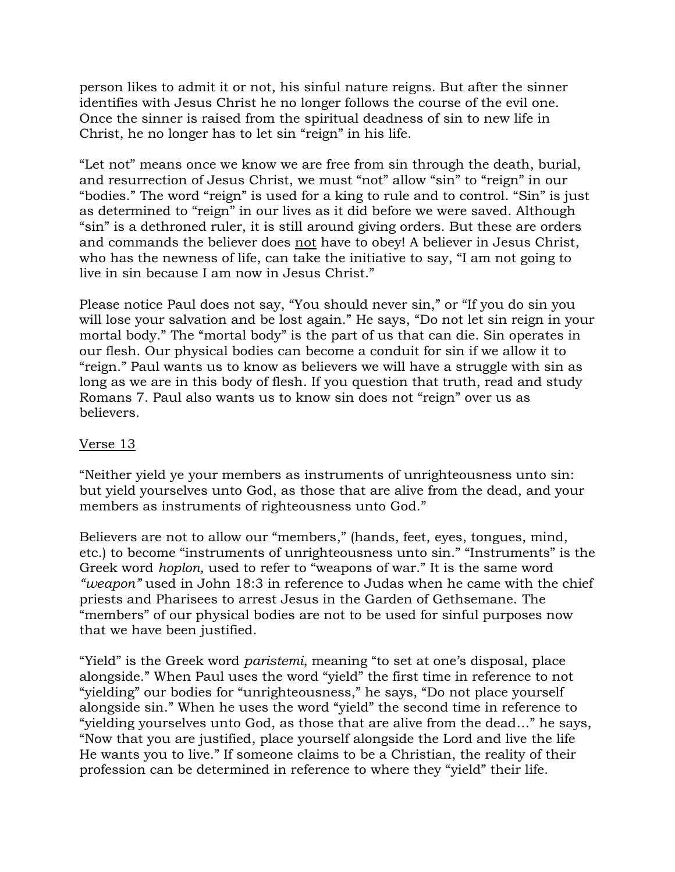person likes to admit it or not, his sinful nature reigns. But after the sinner identifies with Jesus Christ he no longer follows the course of the evil one. Once the sinner is raised from the spiritual deadness of sin to new life in Christ, he no longer has to let sin "reign" in his life.

"Let not" means once we know we are free from sin through the death, burial, and resurrection of Jesus Christ, we must "not" allow "sin" to "reign" in our "bodies." The word "reign" is used for a king to rule and to control. "Sin" is just as determined to "reign" in our lives as it did before we were saved. Although "sin" is a dethroned ruler, it is still around giving orders. But these are orders and commands the believer does not have to obey! A believer in Jesus Christ, who has the newness of life, can take the initiative to say, "I am not going to live in sin because I am now in Jesus Christ."

Please notice Paul does not say, "You should never sin," or "If you do sin you will lose your salvation and be lost again." He says, "Do not let sin reign in your mortal body." The "mortal body" is the part of us that can die. Sin operates in our flesh. Our physical bodies can become a conduit for sin if we allow it to "reign." Paul wants us to know as believers we will have a struggle with sin as long as we are in this body of flesh. If you question that truth, read and study Romans 7. Paul also wants us to know sin does not "reign" over us as believers.

### Verse 13

"Neither yield ye your members as instruments of unrighteousness unto sin: but yield yourselves unto God, as those that are alive from the dead, and your members as instruments of righteousness unto God."

Believers are not to allow our "members," (hands, feet, eyes, tongues, mind, etc.) to become "instruments of unrighteousness unto sin." "Instruments" is the Greek word *hoplon,* used to refer to "weapons of war." It is the same word *"weapon"* used in John 18:3 in reference to Judas when he came with the chief priests and Pharisees to arrest Jesus in the Garden of Gethsemane. The "members" of our physical bodies are not to be used for sinful purposes now that we have been justified.

"Yield" is the Greek word *paristemi*, meaning "to set at one's disposal, place alongside." When Paul uses the word "yield" the first time in reference to not "yielding" our bodies for "unrighteousness," he says, "Do not place yourself alongside sin." When he uses the word "yield" the second time in reference to "yielding yourselves unto God, as those that are alive from the dead…" he says, "Now that you are justified, place yourself alongside the Lord and live the life He wants you to live." If someone claims to be a Christian, the reality of their profession can be determined in reference to where they "yield" their life.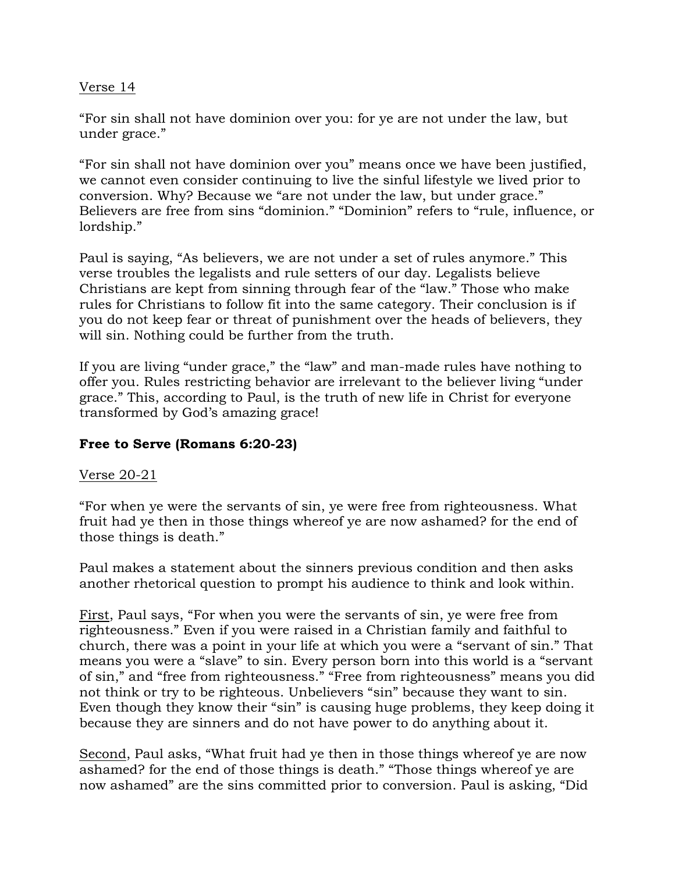## Verse 14

"For sin shall not have dominion over you: for ye are not under the law, but under grace."

"For sin shall not have dominion over you" means once we have been justified, we cannot even consider continuing to live the sinful lifestyle we lived prior to conversion. Why? Because we "are not under the law, but under grace." Believers are free from sins "dominion." "Dominion" refers to "rule, influence, or lordship."

Paul is saying, "As believers, we are not under a set of rules anymore." This verse troubles the legalists and rule setters of our day. Legalists believe Christians are kept from sinning through fear of the "law." Those who make rules for Christians to follow fit into the same category. Their conclusion is if you do not keep fear or threat of punishment over the heads of believers, they will sin. Nothing could be further from the truth.

If you are living "under grace," the "law" and man-made rules have nothing to offer you. Rules restricting behavior are irrelevant to the believer living "under grace." This, according to Paul, is the truth of new life in Christ for everyone transformed by God's amazing grace!

# **Free to Serve (Romans 6:20-23)**

#### Verse 20-21

"For when ye were the servants of sin, ye were free from righteousness. What fruit had ye then in those things whereof ye are now ashamed? for the end of those things is death."

Paul makes a statement about the sinners previous condition and then asks another rhetorical question to prompt his audience to think and look within.

First, Paul says, "For when you were the servants of sin, ye were free from righteousness." Even if you were raised in a Christian family and faithful to church, there was a point in your life at which you were a "servant of sin." That means you were a "slave" to sin. Every person born into this world is a "servant of sin," and "free from righteousness." "Free from righteousness" means you did not think or try to be righteous. Unbelievers "sin" because they want to sin. Even though they know their "sin" is causing huge problems, they keep doing it because they are sinners and do not have power to do anything about it.

Second, Paul asks, "What fruit had ye then in those things whereof ye are now ashamed? for the end of those things is death." "Those things whereof ye are now ashamed" are the sins committed prior to conversion. Paul is asking, "Did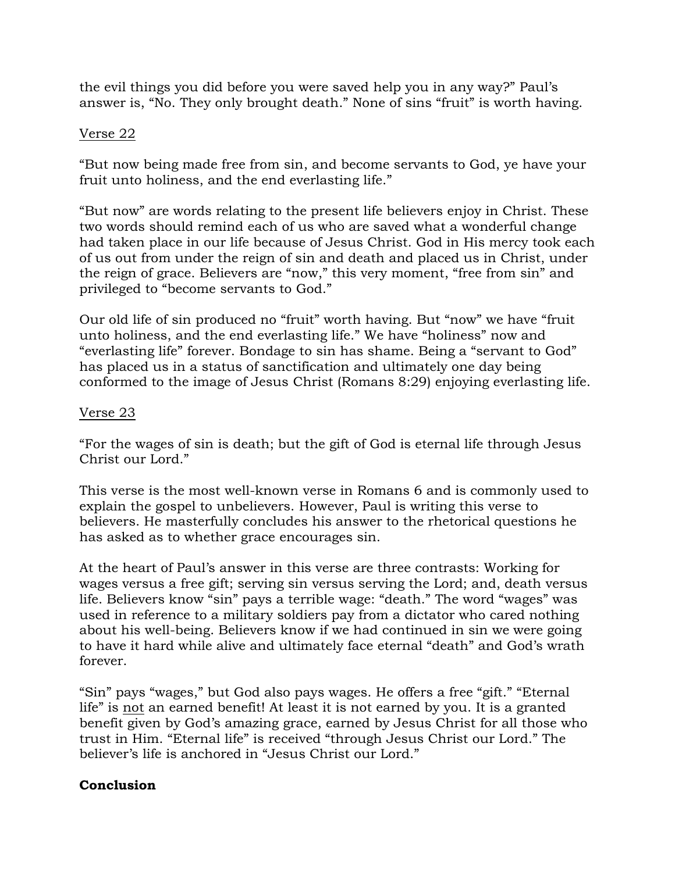the evil things you did before you were saved help you in any way?" Paul's answer is, "No. They only brought death." None of sins "fruit" is worth having.

### Verse 22

"But now being made free from sin, and become servants to God, ye have your fruit unto holiness, and the end everlasting life."

"But now" are words relating to the present life believers enjoy in Christ. These two words should remind each of us who are saved what a wonderful change had taken place in our life because of Jesus Christ. God in His mercy took each of us out from under the reign of sin and death and placed us in Christ, under the reign of grace. Believers are "now," this very moment, "free from sin" and privileged to "become servants to God."

Our old life of sin produced no "fruit" worth having. But "now" we have "fruit unto holiness, and the end everlasting life." We have "holiness" now and "everlasting life" forever. Bondage to sin has shame. Being a "servant to God" has placed us in a status of sanctification and ultimately one day being conformed to the image of Jesus Christ (Romans 8:29) enjoying everlasting life.

## Verse 23

"For the wages of sin is death; but the gift of God is eternal life through Jesus Christ our Lord."

This verse is the most well-known verse in Romans 6 and is commonly used to explain the gospel to unbelievers. However, Paul is writing this verse to believers. He masterfully concludes his answer to the rhetorical questions he has asked as to whether grace encourages sin.

At the heart of Paul's answer in this verse are three contrasts: Working for wages versus a free gift; serving sin versus serving the Lord; and, death versus life. Believers know "sin" pays a terrible wage: "death." The word "wages" was used in reference to a military soldiers pay from a dictator who cared nothing about his well-being. Believers know if we had continued in sin we were going to have it hard while alive and ultimately face eternal "death" and God's wrath forever.

"Sin" pays "wages," but God also pays wages. He offers a free "gift." "Eternal life" is not an earned benefit! At least it is not earned by you. It is a granted benefit given by God's amazing grace, earned by Jesus Christ for all those who trust in Him. "Eternal life" is received "through Jesus Christ our Lord." The believer's life is anchored in "Jesus Christ our Lord."

# **Conclusion**